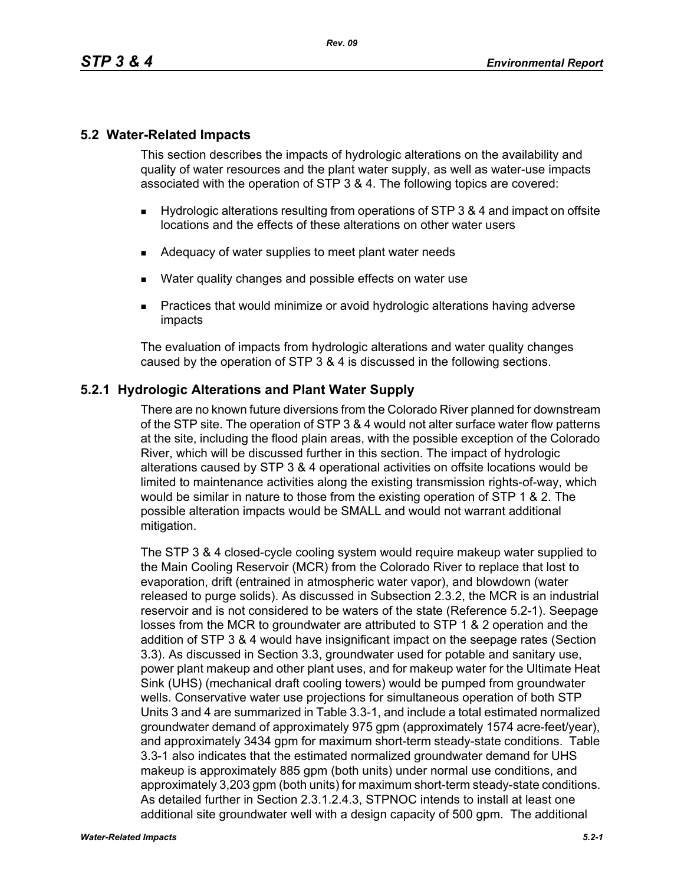## **5.2 Water-Related Impacts**

This section describes the impacts of hydrologic alterations on the availability and quality of water resources and the plant water supply, as well as water-use impacts associated with the operation of STP 3 & 4. The following topics are covered:

- Hydrologic alterations resulting from operations of STP 3 & 4 and impact on offsite locations and the effects of these alterations on other water users
- Adequacy of water supplies to meet plant water needs
- Water quality changes and possible effects on water use
- **Practices that would minimize or avoid hydrologic alterations having adverse** impacts

The evaluation of impacts from hydrologic alterations and water quality changes caused by the operation of STP 3 & 4 is discussed in the following sections.

## **5.2.1 Hydrologic Alterations and Plant Water Supply**

There are no known future diversions from the Colorado River planned for downstream of the STP site. The operation of STP 3 & 4 would not alter surface water flow patterns at the site, including the flood plain areas, with the possible exception of the Colorado River, which will be discussed further in this section. The impact of hydrologic alterations caused by STP 3 & 4 operational activities on offsite locations would be limited to maintenance activities along the existing transmission rights-of-way, which would be similar in nature to those from the existing operation of STP 1 & 2. The possible alteration impacts would be SMALL and would not warrant additional mitigation.

The STP 3 & 4 closed-cycle cooling system would require makeup water supplied to the Main Cooling Reservoir (MCR) from the Colorado River to replace that lost to evaporation, drift (entrained in atmospheric water vapor), and blowdown (water released to purge solids). As discussed in Subsection 2.3.2, the MCR is an industrial reservoir and is not considered to be waters of the state (Reference 5.2-1). Seepage losses from the MCR to groundwater are attributed to STP 1 & 2 operation and the addition of STP 3 & 4 would have insignificant impact on the seepage rates (Section 3.3). As discussed in Section 3.3, groundwater used for potable and sanitary use, power plant makeup and other plant uses, and for makeup water for the Ultimate Heat Sink (UHS) (mechanical draft cooling towers) would be pumped from groundwater wells. Conservative water use projections for simultaneous operation of both STP Units 3 and 4 are summarized in Table 3.3-1, and include a total estimated normalized groundwater demand of approximately 975 gpm (approximately 1574 acre-feet/year), and approximately 3434 gpm for maximum short-term steady-state conditions. Table 3.3-1 also indicates that the estimated normalized groundwater demand for UHS makeup is approximately 885 gpm (both units) under normal use conditions, and approximately 3,203 gpm (both units) for maximum short-term steady-state conditions. As detailed further in Section 2.3.1.2.4.3, STPNOC intends to install at least one additional site groundwater well with a design capacity of 500 gpm. The additional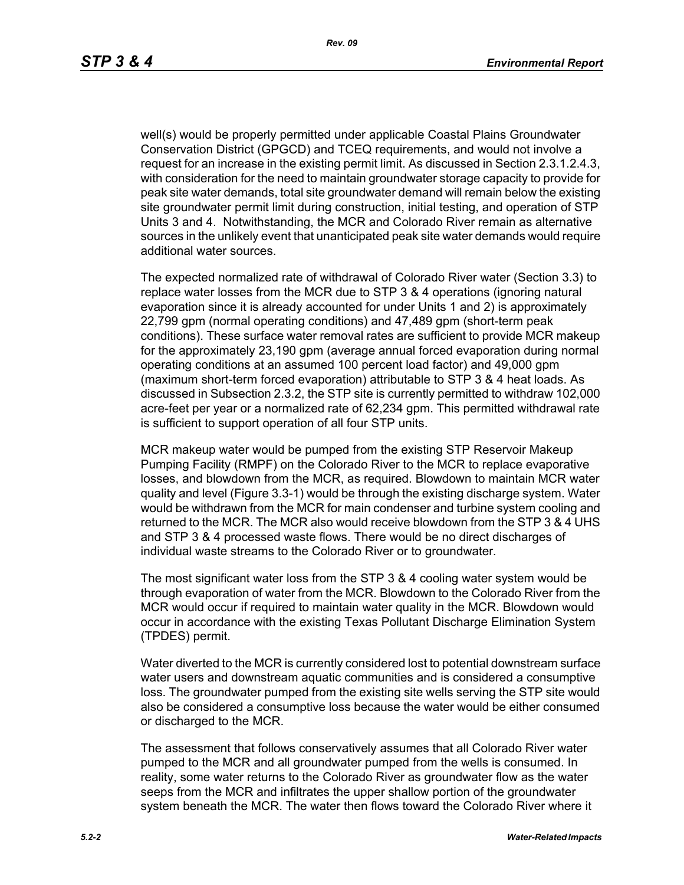well(s) would be properly permitted under applicable Coastal Plains Groundwater Conservation District (GPGCD) and TCEQ requirements, and would not involve a request for an increase in the existing permit limit. As discussed in Section 2.3.1.2.4.3, with consideration for the need to maintain groundwater storage capacity to provide for peak site water demands, total site groundwater demand will remain below the existing site groundwater permit limit during construction, initial testing, and operation of STP Units 3 and 4. Notwithstanding, the MCR and Colorado River remain as alternative sources in the unlikely event that unanticipated peak site water demands would require additional water sources.

The expected normalized rate of withdrawal of Colorado River water (Section 3.3) to replace water losses from the MCR due to STP 3 & 4 operations (ignoring natural evaporation since it is already accounted for under Units 1 and 2) is approximately 22,799 gpm (normal operating conditions) and 47,489 gpm (short-term peak conditions). These surface water removal rates are sufficient to provide MCR makeup for the approximately 23,190 gpm (average annual forced evaporation during normal operating conditions at an assumed 100 percent load factor) and 49,000 gpm (maximum short-term forced evaporation) attributable to STP 3 & 4 heat loads. As discussed in Subsection 2.3.2, the STP site is currently permitted to withdraw 102,000 acre-feet per year or a normalized rate of 62,234 gpm. This permitted withdrawal rate is sufficient to support operation of all four STP units.

MCR makeup water would be pumped from the existing STP Reservoir Makeup Pumping Facility (RMPF) on the Colorado River to the MCR to replace evaporative losses, and blowdown from the MCR, as required. Blowdown to maintain MCR water quality and level (Figure 3.3-1) would be through the existing discharge system. Water would be withdrawn from the MCR for main condenser and turbine system cooling and returned to the MCR. The MCR also would receive blowdown from the STP 3 & 4 UHS and STP 3 & 4 processed waste flows. There would be no direct discharges of individual waste streams to the Colorado River or to groundwater*.*

The most significant water loss from the STP 3 & 4 cooling water system would be through evaporation of water from the MCR. Blowdown to the Colorado River from the MCR would occur if required to maintain water quality in the MCR. Blowdown would occur in accordance with the existing Texas Pollutant Discharge Elimination System (TPDES) permit.

Water diverted to the MCR is currently considered lost to potential downstream surface water users and downstream aquatic communities and is considered a consumptive loss. The groundwater pumped from the existing site wells serving the STP site would also be considered a consumptive loss because the water would be either consumed or discharged to the MCR.

The assessment that follows conservatively assumes that all Colorado River water pumped to the MCR and all groundwater pumped from the wells is consumed. In reality, some water returns to the Colorado River as groundwater flow as the water seeps from the MCR and infiltrates the upper shallow portion of the groundwater system beneath the MCR. The water then flows toward the Colorado River where it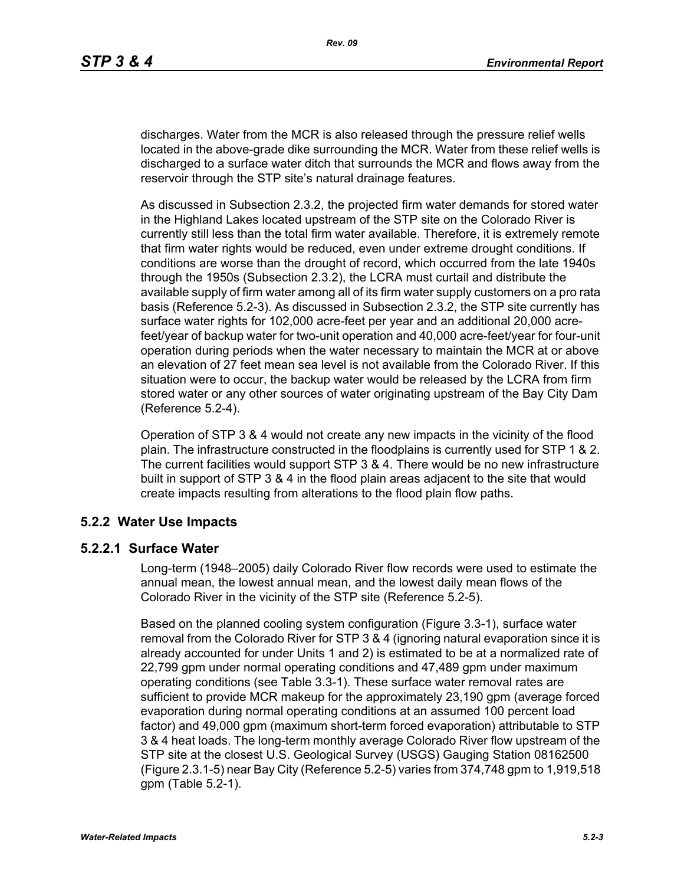discharges. Water from the MCR is also released through the pressure relief wells located in the above-grade dike surrounding the MCR. Water from these relief wells is discharged to a surface water ditch that surrounds the MCR and flows away from the reservoir through the STP site's natural drainage features.

As discussed in Subsection 2.3.2, the projected firm water demands for stored water in the Highland Lakes located upstream of the STP site on the Colorado River is currently still less than the total firm water available. Therefore, it is extremely remote that firm water rights would be reduced, even under extreme drought conditions. If conditions are worse than the drought of record, which occurred from the late 1940s through the 1950s (Subsection 2.3.2), the LCRA must curtail and distribute the available supply of firm water among all of its firm water supply customers on a pro rata basis (Reference 5.2-3). As discussed in Subsection 2.3.2, the STP site currently has surface water rights for 102,000 acre-feet per year and an additional 20,000 acrefeet/year of backup water for two-unit operation and 40,000 acre-feet/year for four-unit operation during periods when the water necessary to maintain the MCR at or above an elevation of 27 feet mean sea level is not available from the Colorado River. If this situation were to occur, the backup water would be released by the LCRA from firm stored water or any other sources of water originating upstream of the Bay City Dam (Reference 5.2-4).

Operation of STP 3 & 4 would not create any new impacts in the vicinity of the flood plain. The infrastructure constructed in the floodplains is currently used for STP 1 & 2. The current facilities would support STP 3 & 4. There would be no new infrastructure built in support of STP 3 & 4 in the flood plain areas adjacent to the site that would create impacts resulting from alterations to the flood plain flow paths.

# **5.2.2 Water Use Impacts**

### **5.2.2.1 Surface Water**

Long-term (1948–2005) daily Colorado River flow records were used to estimate the annual mean, the lowest annual mean, and the lowest daily mean flows of the Colorado River in the vicinity of the STP site (Reference 5.2-5).

Based on the planned cooling system configuration (Figure 3.3-1), surface water removal from the Colorado River for STP 3 & 4 (ignoring natural evaporation since it is already accounted for under Units 1 and 2) is estimated to be at a normalized rate of 22,799 gpm under normal operating conditions and 47,489 gpm under maximum operating conditions (see Table 3.3-1). These surface water removal rates are sufficient to provide MCR makeup for the approximately 23,190 gpm (average forced evaporation during normal operating conditions at an assumed 100 percent load factor) and 49,000 gpm (maximum short-term forced evaporation) attributable to STP 3 & 4 heat loads. The long-term monthly average Colorado River flow upstream of the STP site at the closest U.S. Geological Survey (USGS) Gauging Station 08162500 (Figure 2.3.1-5) near Bay City (Reference 5.2-5) varies from 374,748 gpm to 1,919,518 gpm (Table 5.2-1).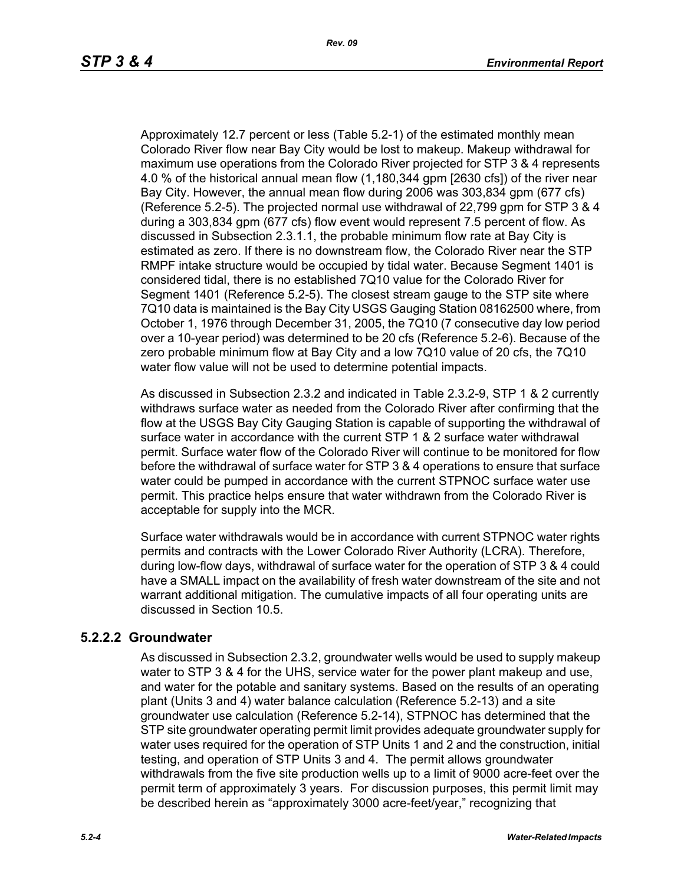Approximately 12.7 percent or less (Table 5.2-1) of the estimated monthly mean Colorado River flow near Bay City would be lost to makeup. Makeup withdrawal for maximum use operations from the Colorado River projected for STP 3 & 4 represents 4.0 % of the historical annual mean flow (1,180,344 gpm [2630 cfs]) of the river near Bay City. However, the annual mean flow during 2006 was 303,834 gpm (677 cfs) (Reference 5.2-5). The projected normal use withdrawal of 22,799 gpm for STP 3 & 4 during a 303,834 gpm (677 cfs) flow event would represent 7.5 percent of flow. As discussed in Subsection 2.3.1.1, the probable minimum flow rate at Bay City is estimated as zero. If there is no downstream flow, the Colorado River near the STP RMPF intake structure would be occupied by tidal water. Because Segment 1401 is considered tidal, there is no established 7Q10 value for the Colorado River for Segment 1401 (Reference 5.2-5). The closest stream gauge to the STP site where 7Q10 data is maintained is the Bay City USGS Gauging Station 08162500 where, from October 1, 1976 through December 31, 2005, the 7Q10 (7 consecutive day low period over a 10-year period) was determined to be 20 cfs (Reference 5.2-6). Because of the zero probable minimum flow at Bay City and a low 7Q10 value of 20 cfs, the 7Q10 water flow value will not be used to determine potential impacts.

As discussed in Subsection 2.3.2 and indicated in Table 2.3.2-9, STP 1 & 2 currently withdraws surface water as needed from the Colorado River after confirming that the flow at the USGS Bay City Gauging Station is capable of supporting the withdrawal of surface water in accordance with the current STP 1 & 2 surface water withdrawal permit. Surface water flow of the Colorado River will continue to be monitored for flow before the withdrawal of surface water for STP 3 & 4 operations to ensure that surface water could be pumped in accordance with the current STPNOC surface water use permit. This practice helps ensure that water withdrawn from the Colorado River is acceptable for supply into the MCR.

Surface water withdrawals would be in accordance with current STPNOC water rights permits and contracts with the Lower Colorado River Authority (LCRA). Therefore, during low-flow days, withdrawal of surface water for the operation of STP 3 & 4 could have a SMALL impact on the availability of fresh water downstream of the site and not warrant additional mitigation. The cumulative impacts of all four operating units are discussed in Section 10.5.

### **5.2.2.2 Groundwater**

As discussed in Subsection 2.3.2, groundwater wells would be used to supply makeup water to STP 3 & 4 for the UHS, service water for the power plant makeup and use. and water for the potable and sanitary systems. Based on the results of an operating plant (Units 3 and 4) water balance calculation (Reference 5.2-13) and a site groundwater use calculation (Reference 5.2-14), STPNOC has determined that the STP site groundwater operating permit limit provides adequate groundwater supply for water uses required for the operation of STP Units 1 and 2 and the construction, initial testing, and operation of STP Units 3 and 4. The permit allows groundwater withdrawals from the five site production wells up to a limit of 9000 acre-feet over the permit term of approximately 3 years. For discussion purposes, this permit limit may be described herein as "approximately 3000 acre-feet/year," recognizing that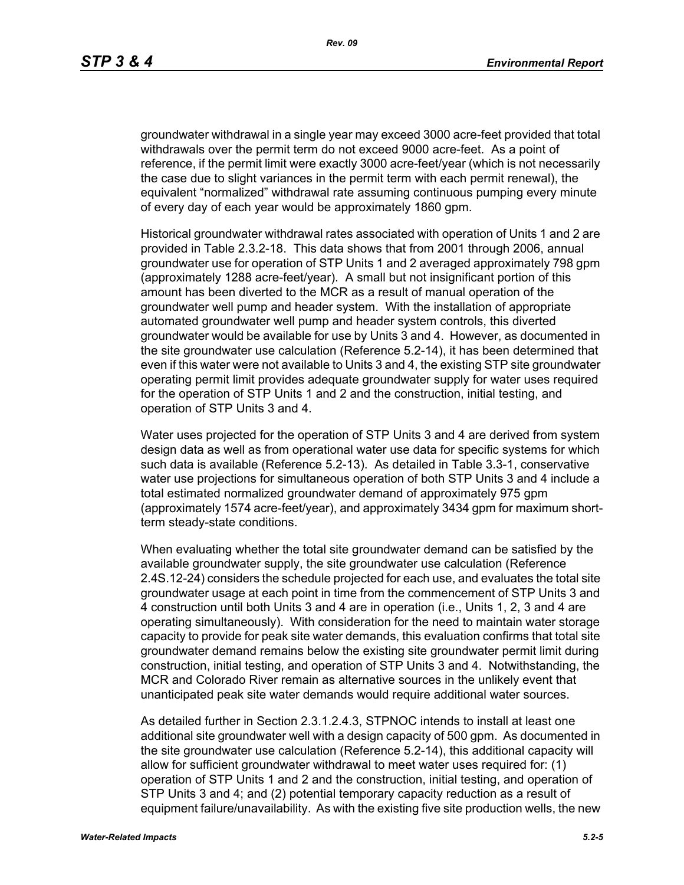groundwater withdrawal in a single year may exceed 3000 acre-feet provided that total withdrawals over the permit term do not exceed 9000 acre-feet. As a point of reference, if the permit limit were exactly 3000 acre-feet/year (which is not necessarily the case due to slight variances in the permit term with each permit renewal), the equivalent "normalized" withdrawal rate assuming continuous pumping every minute of every day of each year would be approximately 1860 gpm.

Historical groundwater withdrawal rates associated with operation of Units 1 and 2 are provided in Table 2.3.2-18. This data shows that from 2001 through 2006, annual groundwater use for operation of STP Units 1 and 2 averaged approximately 798 gpm (approximately 1288 acre-feet/year). A small but not insignificant portion of this amount has been diverted to the MCR as a result of manual operation of the groundwater well pump and header system. With the installation of appropriate automated groundwater well pump and header system controls, this diverted groundwater would be available for use by Units 3 and 4. However, as documented in the site groundwater use calculation (Reference 5.2-14), it has been determined that even if this water were not available to Units 3 and 4, the existing STP site groundwater operating permit limit provides adequate groundwater supply for water uses required for the operation of STP Units 1 and 2 and the construction, initial testing, and operation of STP Units 3 and 4.

Water uses projected for the operation of STP Units 3 and 4 are derived from system design data as well as from operational water use data for specific systems for which such data is available (Reference 5.2-13). As detailed in Table 3.3-1, conservative water use projections for simultaneous operation of both STP Units 3 and 4 include a total estimated normalized groundwater demand of approximately 975 gpm (approximately 1574 acre-feet/year), and approximately 3434 gpm for maximum shortterm steady-state conditions.

When evaluating whether the total site groundwater demand can be satisfied by the available groundwater supply, the site groundwater use calculation (Reference 2.4S.12-24) considers the schedule projected for each use, and evaluates the total site groundwater usage at each point in time from the commencement of STP Units 3 and 4 construction until both Units 3 and 4 are in operation (i.e., Units 1, 2, 3 and 4 are operating simultaneously). With consideration for the need to maintain water storage capacity to provide for peak site water demands, this evaluation confirms that total site groundwater demand remains below the existing site groundwater permit limit during construction, initial testing, and operation of STP Units 3 and 4. Notwithstanding, the MCR and Colorado River remain as alternative sources in the unlikely event that unanticipated peak site water demands would require additional water sources.

As detailed further in Section 2.3.1.2.4.3, STPNOC intends to install at least one additional site groundwater well with a design capacity of 500 gpm. As documented in the site groundwater use calculation (Reference 5.2-14), this additional capacity will allow for sufficient groundwater withdrawal to meet water uses required for: (1) operation of STP Units 1 and 2 and the construction, initial testing, and operation of STP Units 3 and 4; and (2) potential temporary capacity reduction as a result of equipment failure/unavailability. As with the existing five site production wells, the new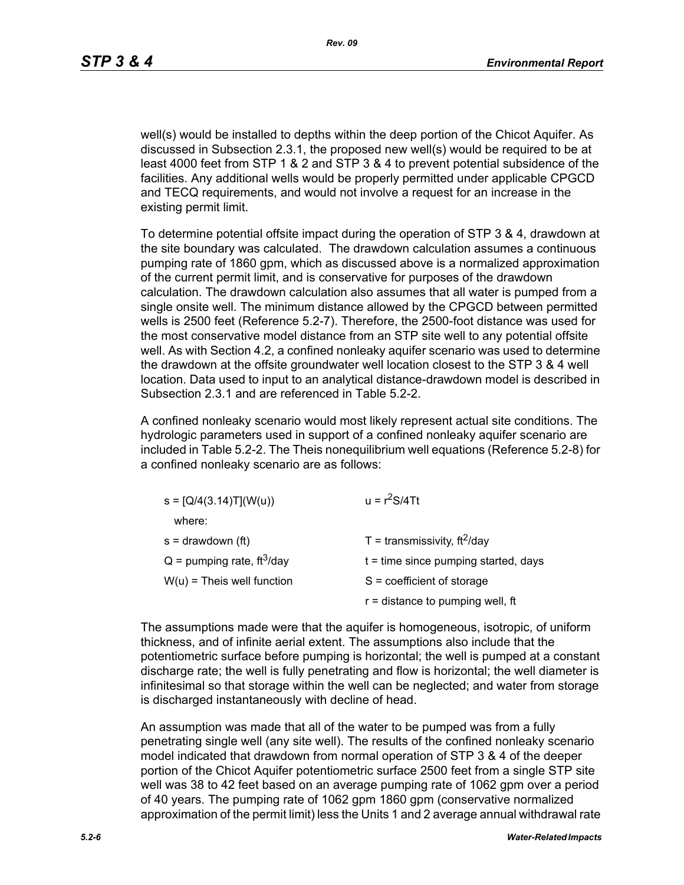well(s) would be installed to depths within the deep portion of the Chicot Aquifer. As discussed in Subsection 2.3.1, the proposed new well(s) would be required to be at least 4000 feet from STP 1 & 2 and STP 3 & 4 to prevent potential subsidence of the facilities. Any additional wells would be properly permitted under applicable CPGCD and TECQ requirements, and would not involve a request for an increase in the existing permit limit.

To determine potential offsite impact during the operation of STP 3 & 4, drawdown at the site boundary was calculated. The drawdown calculation assumes a continuous pumping rate of 1860 gpm, which as discussed above is a normalized approximation of the current permit limit, and is conservative for purposes of the drawdown calculation. The drawdown calculation also assumes that all water is pumped from a single onsite well. The minimum distance allowed by the CPGCD between permitted wells is 2500 feet (Reference 5.2-7). Therefore, the 2500-foot distance was used for the most conservative model distance from an STP site well to any potential offsite well. As with Section 4.2, a confined nonleaky aquifer scenario was used to determine the drawdown at the offsite groundwater well location closest to the STP 3 & 4 well location. Data used to input to an analytical distance-drawdown model is described in Subsection 2.3.1 and are referenced in Table 5.2-2.

A confined nonleaky scenario would most likely represent actual site conditions. The hydrologic parameters used in support of a confined nonleaky aquifer scenario are included in Table 5.2-2. The Theis nonequilibrium well equations (Reference 5.2-8) for a confined nonleaky scenario are as follows:

| $s = [Q/4(3.14)T](W(u))$                 | $u = r^2S/4Tt$                         |  |  |
|------------------------------------------|----------------------------------------|--|--|
| where:                                   |                                        |  |  |
| $s =$ drawdown (ft)                      | T = transmissivity, $ft^2$ /day        |  |  |
| $Q =$ pumping rate, ft <sup>3</sup> /day | $t =$ time since pumping started, days |  |  |
| $W(u)$ = Theis well function             | $S = coefficient of storage$           |  |  |
|                                          | $r =$ distance to pumping well, ft     |  |  |

The assumptions made were that the aquifer is homogeneous, isotropic, of uniform thickness, and of infinite aerial extent. The assumptions also include that the potentiometric surface before pumping is horizontal; the well is pumped at a constant discharge rate; the well is fully penetrating and flow is horizontal; the well diameter is infinitesimal so that storage within the well can be neglected; and water from storage is discharged instantaneously with decline of head.

An assumption was made that all of the water to be pumped was from a fully penetrating single well (any site well). The results of the confined nonleaky scenario model indicated that drawdown from normal operation of STP 3 & 4 of the deeper portion of the Chicot Aquifer potentiometric surface 2500 feet from a single STP site well was 38 to 42 feet based on an average pumping rate of 1062 gpm over a period of 40 years. The pumping rate of 1062 gpm 1860 gpm (conservative normalized approximation of the permit limit) less the Units 1 and 2 average annual withdrawal rate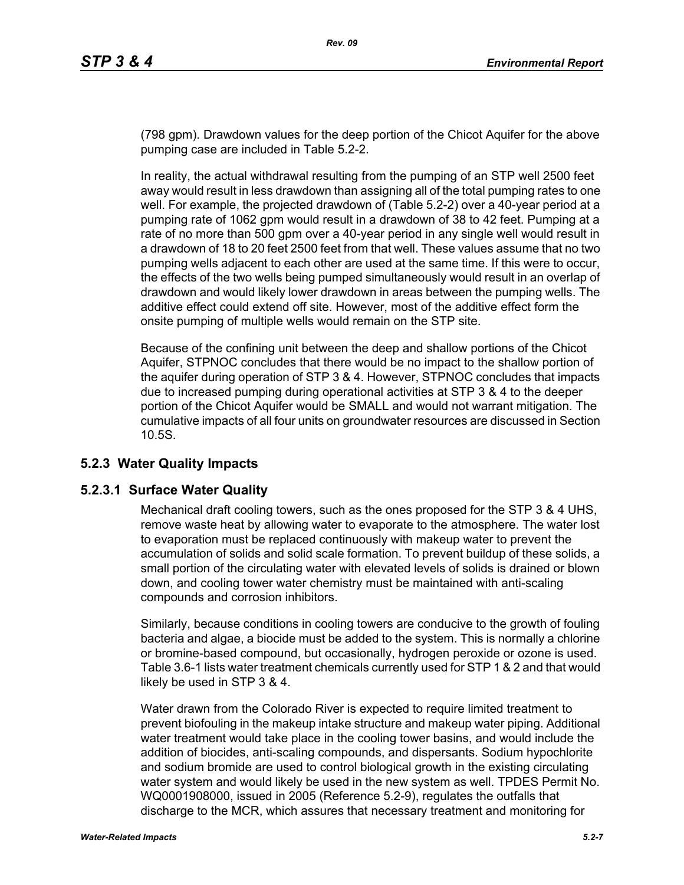(798 gpm). Drawdown values for the deep portion of the Chicot Aquifer for the above pumping case are included in Table 5.2-2.

In reality, the actual withdrawal resulting from the pumping of an STP well 2500 feet away would result in less drawdown than assigning all of the total pumping rates to one well. For example, the projected drawdown of (Table 5.2-2) over a 40-year period at a pumping rate of 1062 gpm would result in a drawdown of 38 to 42 feet. Pumping at a rate of no more than 500 gpm over a 40-year period in any single well would result in a drawdown of 18 to 20 feet 2500 feet from that well. These values assume that no two pumping wells adjacent to each other are used at the same time. If this were to occur, the effects of the two wells being pumped simultaneously would result in an overlap of drawdown and would likely lower drawdown in areas between the pumping wells. The additive effect could extend off site. However, most of the additive effect form the onsite pumping of multiple wells would remain on the STP site.

Because of the confining unit between the deep and shallow portions of the Chicot Aquifer, STPNOC concludes that there would be no impact to the shallow portion of the aquifer during operation of STP 3 & 4. However, STPNOC concludes that impacts due to increased pumping during operational activities at STP 3 & 4 to the deeper portion of the Chicot Aquifer would be SMALL and would not warrant mitigation. The cumulative impacts of all four units on groundwater resources are discussed in Section 10.5S.

# **5.2.3 Water Quality Impacts**

### **5.2.3.1 Surface Water Quality**

Mechanical draft cooling towers, such as the ones proposed for the STP 3 & 4 UHS, remove waste heat by allowing water to evaporate to the atmosphere. The water lost to evaporation must be replaced continuously with makeup water to prevent the accumulation of solids and solid scale formation. To prevent buildup of these solids, a small portion of the circulating water with elevated levels of solids is drained or blown down, and cooling tower water chemistry must be maintained with anti-scaling compounds and corrosion inhibitors.

Similarly, because conditions in cooling towers are conducive to the growth of fouling bacteria and algae, a biocide must be added to the system. This is normally a chlorine or bromine-based compound, but occasionally, hydrogen peroxide or ozone is used. Table 3.6-1 lists water treatment chemicals currently used for STP 1 & 2 and that would likely be used in STP 3 & 4.

Water drawn from the Colorado River is expected to require limited treatment to prevent biofouling in the makeup intake structure and makeup water piping. Additional water treatment would take place in the cooling tower basins, and would include the addition of biocides, anti-scaling compounds, and dispersants. Sodium hypochlorite and sodium bromide are used to control biological growth in the existing circulating water system and would likely be used in the new system as well. TPDES Permit No. WQ0001908000, issued in 2005 (Reference 5.2-9), regulates the outfalls that discharge to the MCR, which assures that necessary treatment and monitoring for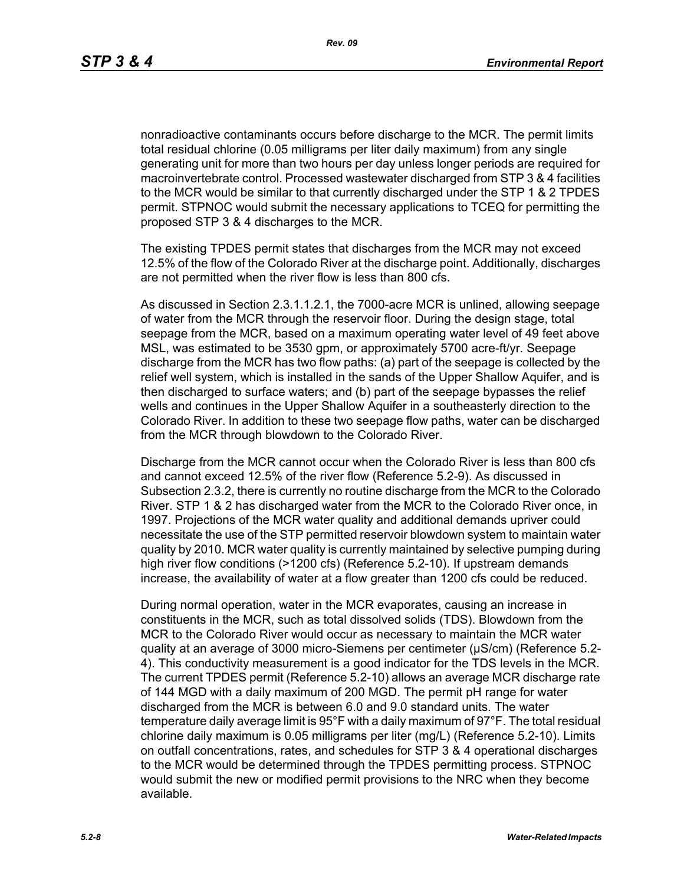nonradioactive contaminants occurs before discharge to the MCR. The permit limits total residual chlorine (0.05 milligrams per liter daily maximum) from any single generating unit for more than two hours per day unless longer periods are required for macroinvertebrate control. Processed wastewater discharged from STP 3 & 4 facilities to the MCR would be similar to that currently discharged under the STP 1 & 2 TPDES permit. STPNOC would submit the necessary applications to TCEQ for permitting the proposed STP 3 & 4 discharges to the MCR.

The existing TPDES permit states that discharges from the MCR may not exceed 12.5% of the flow of the Colorado River at the discharge point. Additionally, discharges are not permitted when the river flow is less than 800 cfs.

As discussed in Section 2.3.1.1.2.1, the 7000-acre MCR is unlined, allowing seepage of water from the MCR through the reservoir floor. During the design stage, total seepage from the MCR, based on a maximum operating water level of 49 feet above MSL, was estimated to be 3530 gpm, or approximately 5700 acre-ft/yr. Seepage discharge from the MCR has two flow paths: (a) part of the seepage is collected by the relief well system, which is installed in the sands of the Upper Shallow Aquifer, and is then discharged to surface waters; and (b) part of the seepage bypasses the relief wells and continues in the Upper Shallow Aquifer in a southeasterly direction to the Colorado River. In addition to these two seepage flow paths, water can be discharged from the MCR through blowdown to the Colorado River.

Discharge from the MCR cannot occur when the Colorado River is less than 800 cfs and cannot exceed 12.5% of the river flow (Reference 5.2-9). As discussed in Subsection 2.3.2, there is currently no routine discharge from the MCR to the Colorado River. STP 1 & 2 has discharged water from the MCR to the Colorado River once, in 1997. Projections of the MCR water quality and additional demands upriver could necessitate the use of the STP permitted reservoir blowdown system to maintain water quality by 2010. MCR water quality is currently maintained by selective pumping during high river flow conditions (>1200 cfs) (Reference 5.2-10). If upstream demands increase, the availability of water at a flow greater than 1200 cfs could be reduced.

During normal operation, water in the MCR evaporates, causing an increase in constituents in the MCR, such as total dissolved solids (TDS). Blowdown from the MCR to the Colorado River would occur as necessary to maintain the MCR water quality at an average of 3000 micro-Siemens per centimeter (µS/cm) (Reference 5.2- 4). This conductivity measurement is a good indicator for the TDS levels in the MCR. The current TPDES permit (Reference 5.2-10) allows an average MCR discharge rate of 144 MGD with a daily maximum of 200 MGD. The permit pH range for water discharged from the MCR is between 6.0 and 9.0 standard units. The water temperature daily average limit is 95°F with a daily maximum of 97°F. The total residual chlorine daily maximum is 0.05 milligrams per liter (mg/L) (Reference 5.2-10). Limits on outfall concentrations, rates, and schedules for STP 3 & 4 operational discharges to the MCR would be determined through the TPDES permitting process. STPNOC would submit the new or modified permit provisions to the NRC when they become available.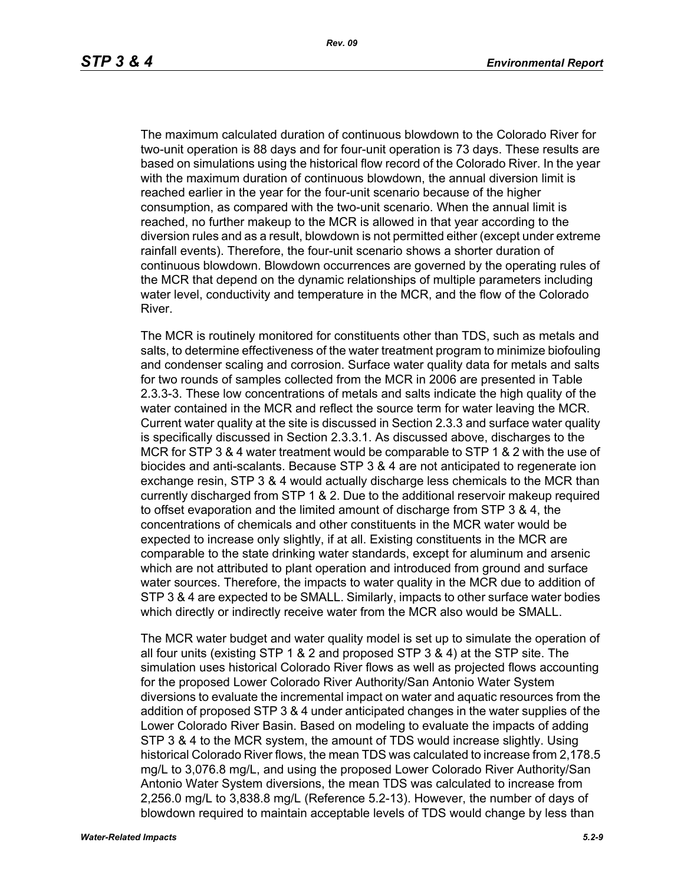The maximum calculated duration of continuous blowdown to the Colorado River for two-unit operation is 88 days and for four-unit operation is 73 days. These results are based on simulations using the historical flow record of the Colorado River. In the year with the maximum duration of continuous blowdown, the annual diversion limit is reached earlier in the year for the four-unit scenario because of the higher consumption, as compared with the two-unit scenario. When the annual limit is reached, no further makeup to the MCR is allowed in that year according to the diversion rules and as a result, blowdown is not permitted either (except under extreme rainfall events). Therefore, the four-unit scenario shows a shorter duration of continuous blowdown. Blowdown occurrences are governed by the operating rules of the MCR that depend on the dynamic relationships of multiple parameters including water level, conductivity and temperature in the MCR, and the flow of the Colorado River.

The MCR is routinely monitored for constituents other than TDS, such as metals and salts, to determine effectiveness of the water treatment program to minimize biofouling and condenser scaling and corrosion. Surface water quality data for metals and salts for two rounds of samples collected from the MCR in 2006 are presented in Table 2.3.3-3. These low concentrations of metals and salts indicate the high quality of the water contained in the MCR and reflect the source term for water leaving the MCR. Current water quality at the site is discussed in Section 2.3.3 and surface water quality is specifically discussed in Section 2.3.3.1. As discussed above, discharges to the MCR for STP 3 & 4 water treatment would be comparable to STP 1 & 2 with the use of biocides and anti-scalants. Because STP 3 & 4 are not anticipated to regenerate ion exchange resin, STP 3 & 4 would actually discharge less chemicals to the MCR than currently discharged from STP 1 & 2. Due to the additional reservoir makeup required to offset evaporation and the limited amount of discharge from STP 3 & 4, the concentrations of chemicals and other constituents in the MCR water would be expected to increase only slightly, if at all. Existing constituents in the MCR are comparable to the state drinking water standards, except for aluminum and arsenic which are not attributed to plant operation and introduced from ground and surface water sources. Therefore, the impacts to water quality in the MCR due to addition of STP 3 & 4 are expected to be SMALL. Similarly, impacts to other surface water bodies which directly or indirectly receive water from the MCR also would be SMALL.

The MCR water budget and water quality model is set up to simulate the operation of all four units (existing STP 1 & 2 and proposed STP 3 & 4) at the STP site. The simulation uses historical Colorado River flows as well as projected flows accounting for the proposed Lower Colorado River Authority/San Antonio Water System diversions to evaluate the incremental impact on water and aquatic resources from the addition of proposed STP 3 & 4 under anticipated changes in the water supplies of the Lower Colorado River Basin. Based on modeling to evaluate the impacts of adding STP 3 & 4 to the MCR system, the amount of TDS would increase slightly. Using historical Colorado River flows, the mean TDS was calculated to increase from 2,178.5 mg/L to 3,076.8 mg/L, and using the proposed Lower Colorado River Authority/San Antonio Water System diversions, the mean TDS was calculated to increase from 2,256.0 mg/L to 3,838.8 mg/L (Reference 5.2-13). However, the number of days of blowdown required to maintain acceptable levels of TDS would change by less than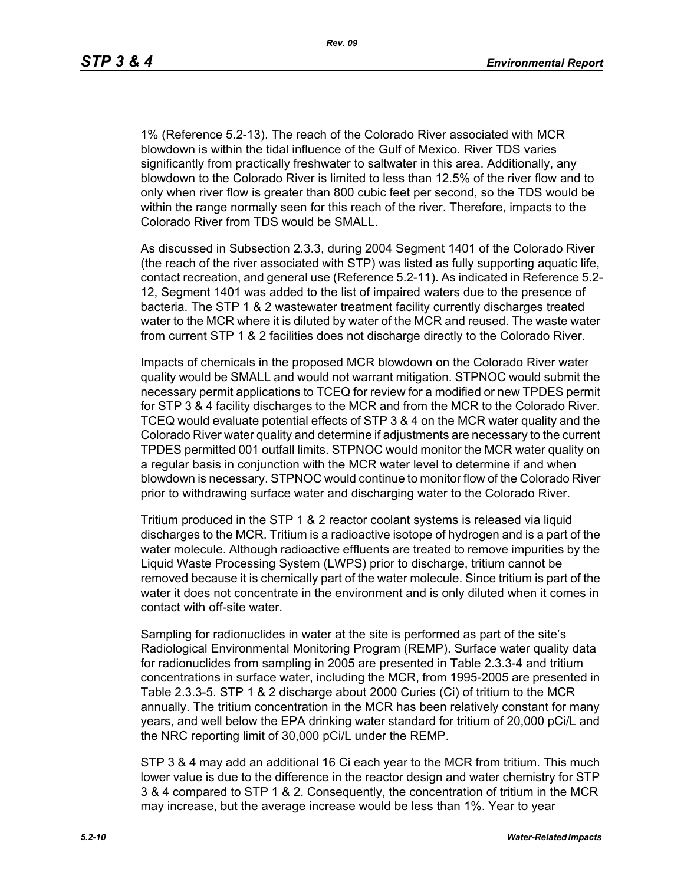*Rev. 09*

1% (Reference 5.2-13). The reach of the Colorado River associated with MCR blowdown is within the tidal influence of the Gulf of Mexico. River TDS varies significantly from practically freshwater to saltwater in this area. Additionally, any blowdown to the Colorado River is limited to less than 12.5% of the river flow and to only when river flow is greater than 800 cubic feet per second, so the TDS would be within the range normally seen for this reach of the river. Therefore, impacts to the Colorado River from TDS would be SMALL.

As discussed in Subsection 2.3.3, during 2004 Segment 1401 of the Colorado River (the reach of the river associated with STP) was listed as fully supporting aquatic life, contact recreation, and general use (Reference 5.2-11). As indicated in Reference 5.2- 12, Segment 1401 was added to the list of impaired waters due to the presence of bacteria. The STP 1 & 2 wastewater treatment facility currently discharges treated water to the MCR where it is diluted by water of the MCR and reused. The waste water from current STP 1 & 2 facilities does not discharge directly to the Colorado River.

Impacts of chemicals in the proposed MCR blowdown on the Colorado River water quality would be SMALL and would not warrant mitigation. STPNOC would submit the necessary permit applications to TCEQ for review for a modified or new TPDES permit for STP 3 & 4 facility discharges to the MCR and from the MCR to the Colorado River. TCEQ would evaluate potential effects of STP 3 & 4 on the MCR water quality and the Colorado River water quality and determine if adjustments are necessary to the current TPDES permitted 001 outfall limits. STPNOC would monitor the MCR water quality on a regular basis in conjunction with the MCR water level to determine if and when blowdown is necessary. STPNOC would continue to monitor flow of the Colorado River prior to withdrawing surface water and discharging water to the Colorado River.

Tritium produced in the STP 1 & 2 reactor coolant systems is released via liquid discharges to the MCR. Tritium is a radioactive isotope of hydrogen and is a part of the water molecule. Although radioactive effluents are treated to remove impurities by the Liquid Waste Processing System (LWPS) prior to discharge, tritium cannot be removed because it is chemically part of the water molecule. Since tritium is part of the water it does not concentrate in the environment and is only diluted when it comes in contact with off-site water.

Sampling for radionuclides in water at the site is performed as part of the site's Radiological Environmental Monitoring Program (REMP). Surface water quality data for radionuclides from sampling in 2005 are presented in Table 2.3.3-4 and tritium concentrations in surface water, including the MCR, from 1995-2005 are presented in Table 2.3.3-5. STP 1 & 2 discharge about 2000 Curies (Ci) of tritium to the MCR annually. The tritium concentration in the MCR has been relatively constant for many years, and well below the EPA drinking water standard for tritium of 20,000 pCi/L and the NRC reporting limit of 30,000 pCi/L under the REMP.

STP 3 & 4 may add an additional 16 Ci each year to the MCR from tritium. This much lower value is due to the difference in the reactor design and water chemistry for STP 3 & 4 compared to STP 1 & 2. Consequently, the concentration of tritium in the MCR may increase, but the average increase would be less than 1%. Year to year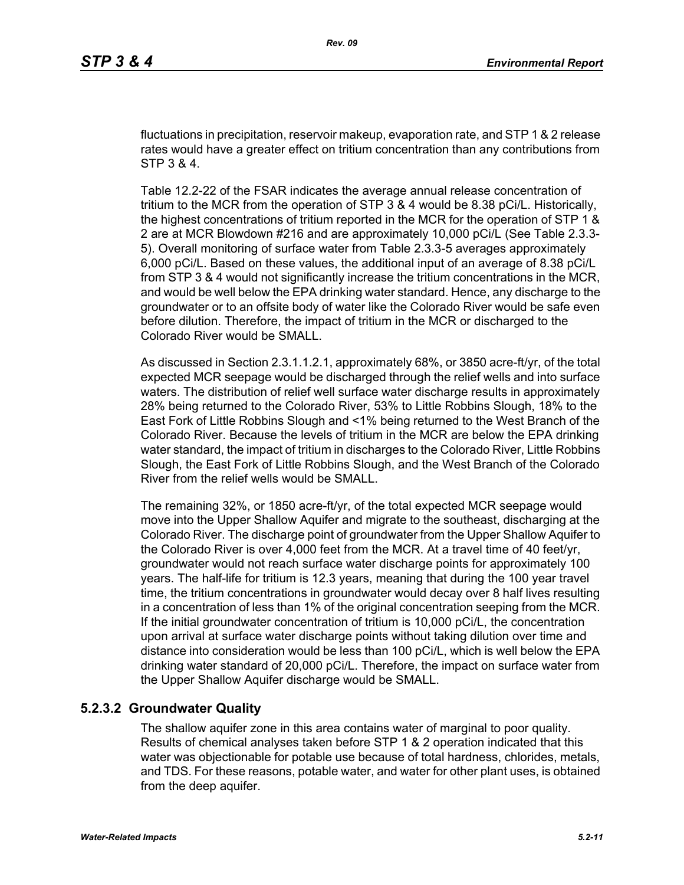fluctuations in precipitation, reservoir makeup, evaporation rate, and STP 1 & 2 release rates would have a greater effect on tritium concentration than any contributions from STP 3 & 4.

Table 12.2-22 of the FSAR indicates the average annual release concentration of tritium to the MCR from the operation of STP 3 & 4 would be 8.38 pCi/L. Historically, the highest concentrations of tritium reported in the MCR for the operation of STP 1 & 2 are at MCR Blowdown #216 and are approximately 10,000 pCi/L (See Table 2.3.3- 5). Overall monitoring of surface water from Table 2.3.3-5 averages approximately 6,000 pCi/L. Based on these values, the additional input of an average of 8.38 pCi/L from STP 3 & 4 would not significantly increase the tritium concentrations in the MCR, and would be well below the EPA drinking water standard. Hence, any discharge to the groundwater or to an offsite body of water like the Colorado River would be safe even before dilution. Therefore, the impact of tritium in the MCR or discharged to the Colorado River would be SMALL.

As discussed in Section 2.3.1.1.2.1, approximately 68%, or 3850 acre-ft/yr, of the total expected MCR seepage would be discharged through the relief wells and into surface waters. The distribution of relief well surface water discharge results in approximately 28% being returned to the Colorado River, 53% to Little Robbins Slough, 18% to the East Fork of Little Robbins Slough and <1% being returned to the West Branch of the Colorado River. Because the levels of tritium in the MCR are below the EPA drinking water standard, the impact of tritium in discharges to the Colorado River, Little Robbins Slough, the East Fork of Little Robbins Slough, and the West Branch of the Colorado River from the relief wells would be SMALL.

The remaining 32%, or 1850 acre-ft/yr, of the total expected MCR seepage would move into the Upper Shallow Aquifer and migrate to the southeast, discharging at the Colorado River. The discharge point of groundwater from the Upper Shallow Aquifer to the Colorado River is over 4,000 feet from the MCR. At a travel time of 40 feet/yr, groundwater would not reach surface water discharge points for approximately 100 years. The half-life for tritium is 12.3 years, meaning that during the 100 year travel time, the tritium concentrations in groundwater would decay over 8 half lives resulting in a concentration of less than 1% of the original concentration seeping from the MCR. If the initial groundwater concentration of tritium is 10,000 pCi/L, the concentration upon arrival at surface water discharge points without taking dilution over time and distance into consideration would be less than 100 pCi/L, which is well below the EPA drinking water standard of 20,000 pCi/L. Therefore, the impact on surface water from the Upper Shallow Aquifer discharge would be SMALL.

#### **5.2.3.2 Groundwater Quality**

The shallow aquifer zone in this area contains water of marginal to poor quality. Results of chemical analyses taken before STP 1 & 2 operation indicated that this water was objectionable for potable use because of total hardness, chlorides, metals, and TDS. For these reasons, potable water, and water for other plant uses, is obtained from the deep aquifer.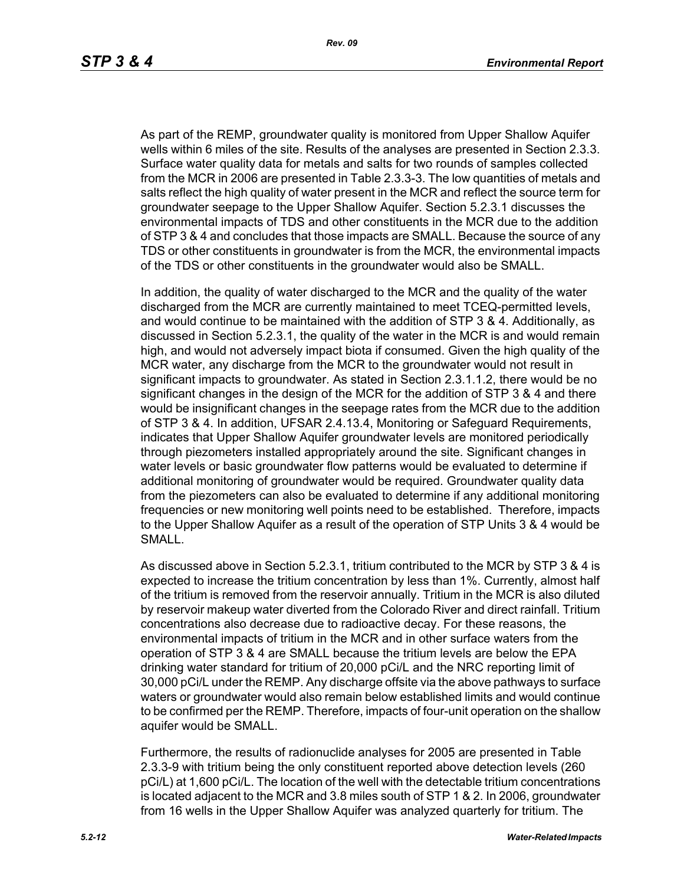*Rev. 09*

As part of the REMP, groundwater quality is monitored from Upper Shallow Aquifer wells within 6 miles of the site. Results of the analyses are presented in Section 2.3.3. Surface water quality data for metals and salts for two rounds of samples collected from the MCR in 2006 are presented in Table 2.3.3-3. The low quantities of metals and salts reflect the high quality of water present in the MCR and reflect the source term for groundwater seepage to the Upper Shallow Aquifer. Section 5.2.3.1 discusses the environmental impacts of TDS and other constituents in the MCR due to the addition of STP 3 & 4 and concludes that those impacts are SMALL. Because the source of any TDS or other constituents in groundwater is from the MCR, the environmental impacts of the TDS or other constituents in the groundwater would also be SMALL.

In addition, the quality of water discharged to the MCR and the quality of the water discharged from the MCR are currently maintained to meet TCEQ-permitted levels, and would continue to be maintained with the addition of STP 3 & 4. Additionally, as discussed in Section 5.2.3.1, the quality of the water in the MCR is and would remain high, and would not adversely impact biota if consumed. Given the high quality of the MCR water, any discharge from the MCR to the groundwater would not result in significant impacts to groundwater. As stated in Section 2.3.1.1.2, there would be no significant changes in the design of the MCR for the addition of STP 3 & 4 and there would be insignificant changes in the seepage rates from the MCR due to the addition of STP 3 & 4. In addition, UFSAR 2.4.13.4, Monitoring or Safeguard Requirements, indicates that Upper Shallow Aquifer groundwater levels are monitored periodically through piezometers installed appropriately around the site. Significant changes in water levels or basic groundwater flow patterns would be evaluated to determine if additional monitoring of groundwater would be required. Groundwater quality data from the piezometers can also be evaluated to determine if any additional monitoring frequencies or new monitoring well points need to be established. Therefore, impacts to the Upper Shallow Aquifer as a result of the operation of STP Units 3 & 4 would be SMALL.

As discussed above in Section 5.2.3.1, tritium contributed to the MCR by STP 3 & 4 is expected to increase the tritium concentration by less than 1%. Currently, almost half of the tritium is removed from the reservoir annually. Tritium in the MCR is also diluted by reservoir makeup water diverted from the Colorado River and direct rainfall. Tritium concentrations also decrease due to radioactive decay. For these reasons, the environmental impacts of tritium in the MCR and in other surface waters from the operation of STP 3 & 4 are SMALL because the tritium levels are below the EPA drinking water standard for tritium of 20,000 pCi/L and the NRC reporting limit of 30,000 pCi/L under the REMP. Any discharge offsite via the above pathways to surface waters or groundwater would also remain below established limits and would continue to be confirmed per the REMP. Therefore, impacts of four-unit operation on the shallow aquifer would be SMALL.

Furthermore, the results of radionuclide analyses for 2005 are presented in Table 2.3.3-9 with tritium being the only constituent reported above detection levels (260 pCi/L) at 1,600 pCi/L. The location of the well with the detectable tritium concentrations is located adjacent to the MCR and 3.8 miles south of STP 1 & 2. In 2006, groundwater from 16 wells in the Upper Shallow Aquifer was analyzed quarterly for tritium. The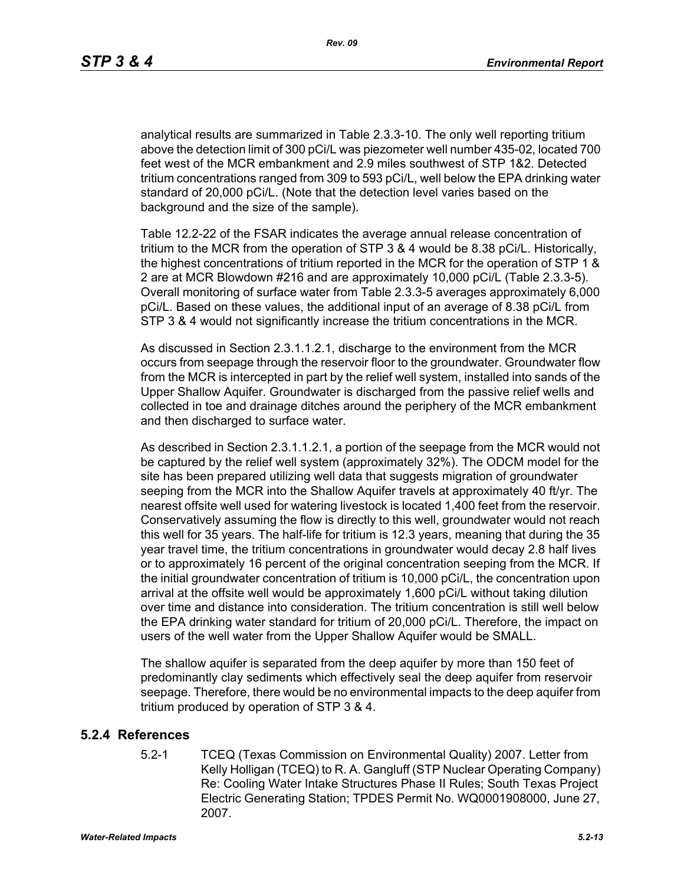*Rev. 09*

analytical results are summarized in Table 2.3.3-10. The only well reporting tritium above the detection limit of 300 pCi/L was piezometer well number 435-02, located 700 feet west of the MCR embankment and 2.9 miles southwest of STP 1&2. Detected tritium concentrations ranged from 309 to 593 pCi/L, well below the EPA drinking water standard of 20,000 pCi/L. (Note that the detection level varies based on the background and the size of the sample).

Table 12.2-22 of the FSAR indicates the average annual release concentration of tritium to the MCR from the operation of STP 3 & 4 would be 8.38 pCi/L. Historically, the highest concentrations of tritium reported in the MCR for the operation of STP 1 & 2 are at MCR Blowdown #216 and are approximately 10,000 pCi/L (Table 2.3.3-5). Overall monitoring of surface water from Table 2.3.3-5 averages approximately 6,000 pCi/L. Based on these values, the additional input of an average of 8.38 pCi/L from STP 3 & 4 would not significantly increase the tritium concentrations in the MCR.

As discussed in Section 2.3.1.1.2.1, discharge to the environment from the MCR occurs from seepage through the reservoir floor to the groundwater. Groundwater flow from the MCR is intercepted in part by the relief well system, installed into sands of the Upper Shallow Aquifer. Groundwater is discharged from the passive relief wells and collected in toe and drainage ditches around the periphery of the MCR embankment and then discharged to surface water.

As described in Section 2.3.1.1.2.1, a portion of the seepage from the MCR would not be captured by the relief well system (approximately 32%). The ODCM model for the site has been prepared utilizing well data that suggests migration of groundwater seeping from the MCR into the Shallow Aquifer travels at approximately 40 ft/yr. The nearest offsite well used for watering livestock is located 1,400 feet from the reservoir. Conservatively assuming the flow is directly to this well, groundwater would not reach this well for 35 years. The half-life for tritium is 12.3 years, meaning that during the 35 year travel time, the tritium concentrations in groundwater would decay 2.8 half lives or to approximately 16 percent of the original concentration seeping from the MCR. If the initial groundwater concentration of tritium is 10,000 pCi/L, the concentration upon arrival at the offsite well would be approximately 1,600 pCi/L without taking dilution over time and distance into consideration. The tritium concentration is still well below the EPA drinking water standard for tritium of 20,000 pCi/L. Therefore, the impact on users of the well water from the Upper Shallow Aquifer would be SMALL.

The shallow aquifer is separated from the deep aquifer by more than 150 feet of predominantly clay sediments which effectively seal the deep aquifer from reservoir seepage. Therefore, there would be no environmental impacts to the deep aquifer from tritium produced by operation of STP 3 & 4.

### **5.2.4 References**

5.2-1 TCEQ (Texas Commission on Environmental Quality) 2007. Letter from Kelly Holligan (TCEQ) to R. A. Gangluff (STP Nuclear Operating Company) Re: Cooling Water Intake Structures Phase II Rules; South Texas Project Electric Generating Station; TPDES Permit No. WQ0001908000, June 27, 2007.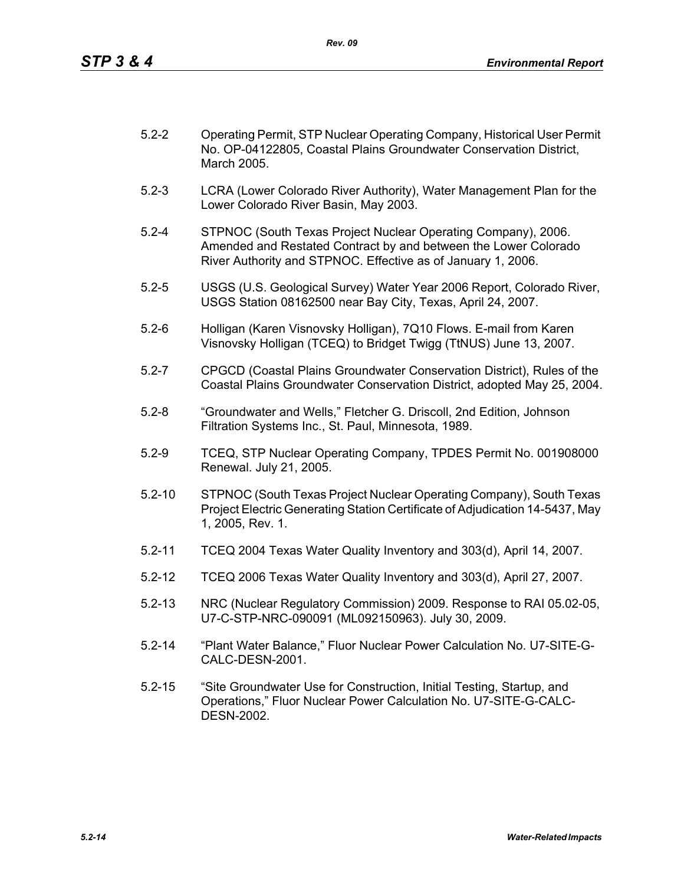| $5.2 - 2$ | Operating Permit, STP Nuclear Operating Company, Historical User Permit |
|-----------|-------------------------------------------------------------------------|
|           | No. OP-04122805, Coastal Plains Groundwater Conservation District,      |
|           | March 2005.                                                             |

- 5.2-3 LCRA (Lower Colorado River Authority), Water Management Plan for the Lower Colorado River Basin, May 2003.
- 5.2-4 STPNOC (South Texas Project Nuclear Operating Company), 2006. Amended and Restated Contract by and between the Lower Colorado River Authority and STPNOC. Effective as of January 1, 2006.
- 5.2-5 USGS (U.S. Geological Survey) Water Year 2006 Report, Colorado River, USGS Station 08162500 near Bay City, Texas, April 24, 2007.
- 5.2-6 Holligan (Karen Visnovsky Holligan), 7Q10 Flows. E-mail from Karen Visnovsky Holligan (TCEQ) to Bridget Twigg (TtNUS) June 13, 2007.
- 5.2-7 CPGCD (Coastal Plains Groundwater Conservation District), Rules of the Coastal Plains Groundwater Conservation District, adopted May 25, 2004.
- 5.2-8 "Groundwater and Wells," Fletcher G. Driscoll, 2nd Edition, Johnson Filtration Systems Inc., St. Paul, Minnesota, 1989.
- 5.2-9 TCEQ, STP Nuclear Operating Company, TPDES Permit No. 001908000 Renewal. July 21, 2005.
- 5.2-10 STPNOC (South Texas Project Nuclear Operating Company), South Texas Project Electric Generating Station Certificate of Adjudication 14-5437, May 1, 2005, Rev. 1.
- 5.2-11 TCEQ 2004 Texas Water Quality Inventory and 303(d), April 14, 2007.
- 5.2-12 TCEQ 2006 Texas Water Quality Inventory and 303(d), April 27, 2007.
- 5.2-13 NRC (Nuclear Regulatory Commission) 2009. Response to RAI 05.02-05, U7-C-STP-NRC-090091 (ML092150963). July 30, 2009.
- 5.2-14 "Plant Water Balance," Fluor Nuclear Power Calculation No. U7-SITE-G-CALC-DESN-2001.
- 5.2-15 "Site Groundwater Use for Construction, Initial Testing, Startup, and Operations," Fluor Nuclear Power Calculation No. U7-SITE-G-CALC-DESN-2002.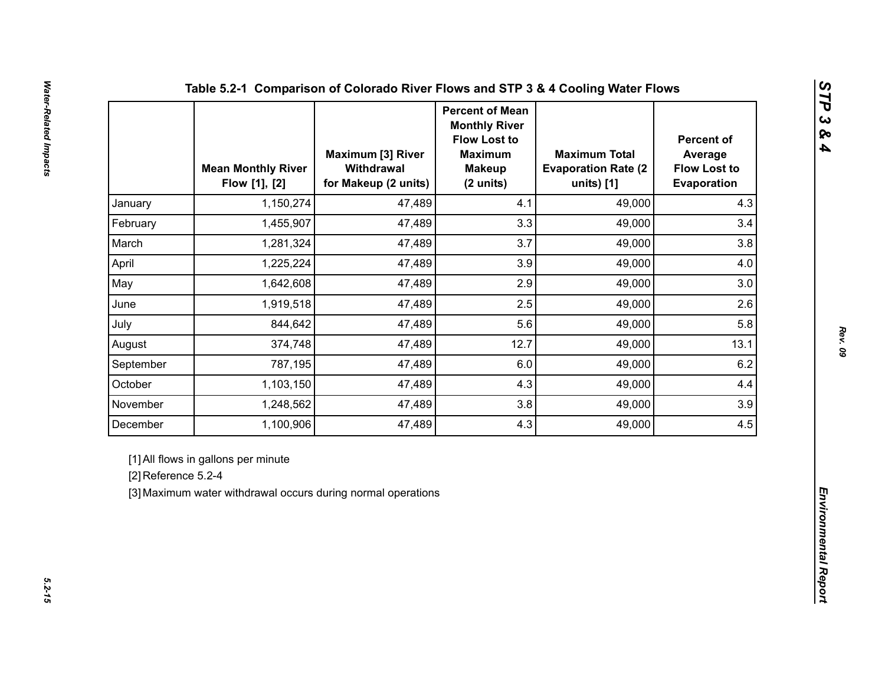|                     | <b>Mean Monthly River</b><br>Flow [1], [2]                                                          | <b>Maximum [3] River</b><br>Withdrawal<br>for Makeup (2 units) | <b>Percent of Mean</b><br><b>Monthly River</b><br><b>Flow Lost to</b><br><b>Maximum</b><br><b>Makeup</b><br>(2 units) | <b>Maximum Total</b><br><b>Evaporation Rate (2)</b><br>units) [1] | <b>Percent of</b><br>Average<br><b>Flow Lost to</b><br>Evaporation |  |
|---------------------|-----------------------------------------------------------------------------------------------------|----------------------------------------------------------------|-----------------------------------------------------------------------------------------------------------------------|-------------------------------------------------------------------|--------------------------------------------------------------------|--|
| January             | 1,150,274                                                                                           | 47,489                                                         | 4.1                                                                                                                   | 49,000                                                            | 4.3                                                                |  |
| February            | 1,455,907                                                                                           | 47,489                                                         | 3.3                                                                                                                   | 49,000                                                            | 3.4                                                                |  |
| March               | 1,281,324                                                                                           | 47,489                                                         | 3.7                                                                                                                   | 49,000                                                            | 3.8                                                                |  |
| April               | 1,225,224                                                                                           | 47,489                                                         | 3.9                                                                                                                   | 49,000                                                            | 4.0                                                                |  |
| May                 | 1,642,608                                                                                           | 47,489                                                         | 2.9                                                                                                                   | 49,000                                                            | 3.0                                                                |  |
| June                | 1,919,518                                                                                           | 47,489                                                         | 2.5                                                                                                                   | 49,000                                                            | 2.6                                                                |  |
| July                | 844,642                                                                                             | 47,489                                                         | 5.6                                                                                                                   | 49,000                                                            | 5.8                                                                |  |
| August              | 374,748                                                                                             | 47,489                                                         | 12.7                                                                                                                  | 49,000                                                            | 13.1                                                               |  |
| September           | 787,195                                                                                             | 47,489                                                         | 6.0                                                                                                                   | 49,000                                                            | 6.2                                                                |  |
| October             | 1,103,150                                                                                           | 47,489                                                         | 4.3                                                                                                                   | 49,000                                                            | 4.4                                                                |  |
| November            | 1,248,562                                                                                           | 47,489                                                         | 3.8                                                                                                                   | 49,000                                                            | 3.9                                                                |  |
| December            | 1,100,906                                                                                           | 47,489                                                         | 4.3                                                                                                                   | 49,000                                                            | 4.5                                                                |  |
| [2] Reference 5.2-4 | [1] All flows in gallons per minute<br>[3] Maximum water withdrawal occurs during normal operations |                                                                |                                                                                                                       |                                                                   |                                                                    |  |

*STP 3 & 4*